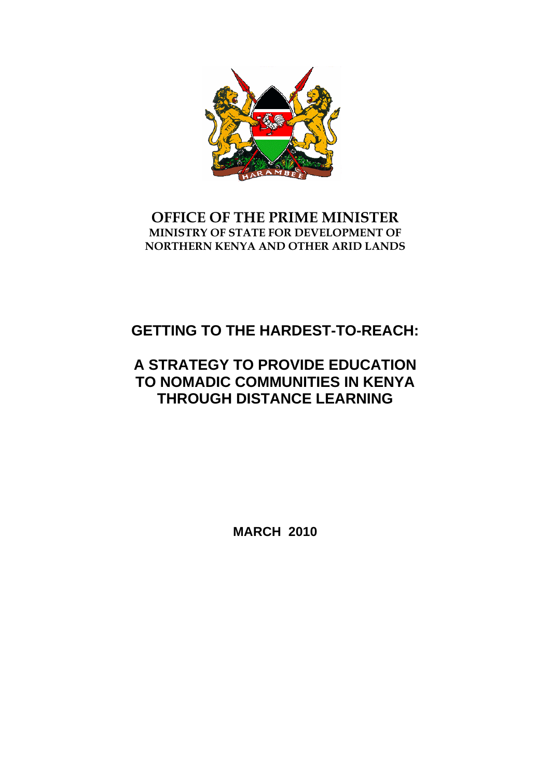

# **OFFICE OF THE PRIME MINISTER MINISTRY OF STATE FOR DEVELOPMENT OF NORTHERN KENYA AND OTHER ARID LANDS**

# **GETTING TO THE HARDEST-TO-REACH:**

# **A STRATEGY TO PROVIDE EDUCATION TO NOMADIC COMMUNITIES IN KENYA THROUGH DISTANCE LEARNING**

**MARCH 2010**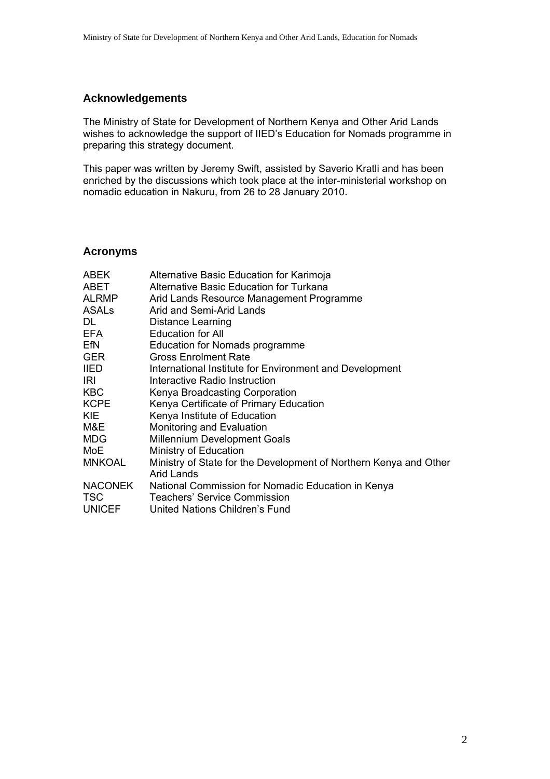# **Acknowledgements**

The Ministry of State for Development of Northern Kenya and Other Arid Lands wishes to acknowledge the support of IIED's Education for Nomads programme in preparing this strategy document.

This paper was written by Jeremy Swift, assisted by Saverio Kratli and has been enriched by the discussions which took place at the inter-ministerial workshop on nomadic education in Nakuru, from 26 to 28 January 2010.

# **Acronyms**

| <b>ABEK</b>    | Alternative Basic Education for Karimoja                          |
|----------------|-------------------------------------------------------------------|
| ABET           | Alternative Basic Education for Turkana                           |
| <b>ALRMP</b>   | Arid Lands Resource Management Programme                          |
| <b>ASALs</b>   | Arid and Semi-Arid Lands                                          |
| DL             | <b>Distance Learning</b>                                          |
| EFA            | <b>Education for All</b>                                          |
| EfN            | Education for Nomads programme                                    |
| <b>GER</b>     | <b>Gross Enrolment Rate</b>                                       |
| <b>IIED</b>    | International Institute for Environment and Development           |
| IRI            | Interactive Radio Instruction                                     |
| <b>KBC</b>     | Kenya Broadcasting Corporation                                    |
| <b>KCPE</b>    | Kenya Certificate of Primary Education                            |
| <b>KIE</b>     | Kenya Institute of Education                                      |
| M&E            | Monitoring and Evaluation                                         |
| <b>MDG</b>     | <b>Millennium Development Goals</b>                               |
| MoE            | Ministry of Education                                             |
| <b>MNKOAL</b>  | Ministry of State for the Development of Northern Kenya and Other |
|                | <b>Arid Lands</b>                                                 |
| <b>NACONEK</b> | National Commission for Nomadic Education in Kenya                |
| <b>TSC</b>     | Teachers' Service Commission                                      |
| <b>UNICEF</b>  | United Nations Children's Fund                                    |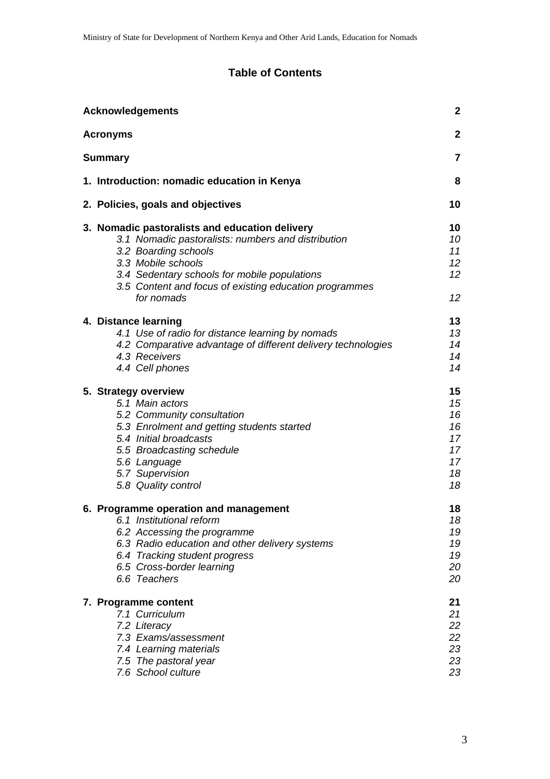# **Table of Contents**

| <b>Acknowledgements</b>                                                                                                                                                                                                                                                    | 2                                                          |
|----------------------------------------------------------------------------------------------------------------------------------------------------------------------------------------------------------------------------------------------------------------------------|------------------------------------------------------------|
| <b>Acronyms</b>                                                                                                                                                                                                                                                            | $\mathbf{2}$                                               |
| <b>Summary</b>                                                                                                                                                                                                                                                             | $\overline{7}$                                             |
| 1. Introduction: nomadic education in Kenya                                                                                                                                                                                                                                | 8                                                          |
| 2. Policies, goals and objectives                                                                                                                                                                                                                                          | 10                                                         |
| 3. Nomadic pastoralists and education delivery<br>3.1 Nomadic pastoralists: numbers and distribution<br>3.2 Boarding schools<br>3.3 Mobile schools<br>3.4 Sedentary schools for mobile populations<br>3.5 Content and focus of existing education programmes<br>for nomads | 10<br>10<br>11<br>12 <sup>°</sup><br>12 <sup>°</sup><br>12 |
| 4. Distance learning<br>4.1 Use of radio for distance learning by nomads<br>4.2 Comparative advantage of different delivery technologies<br>4.3 Receivers<br>4.4 Cell phones                                                                                               | 13<br>13<br>14<br>14<br>14                                 |
| 5. Strategy overview<br>5.1 Main actors<br>5.2 Community consultation<br>5.3 Enrolment and getting students started<br>5.4 Initial broadcasts<br>5.5 Broadcasting schedule<br>5.6 Language<br>5.7 Supervision<br>5.8 Quality control                                       | 15<br>15<br>16<br>16<br>17<br>17<br>17<br>18<br>18         |
| 6. Programme operation and management<br>6.1 Institutional reform<br>6.2 Accessing the programme<br>6.3 Radio education and other delivery systems<br>6.4 Tracking student progress<br>6.5 Cross-border learning<br>6.6 Teachers                                           | 18<br>18<br>19<br>19<br>19<br>20<br>20                     |
| 7. Programme content<br>7.1 Curriculum<br>7.2 Literacy<br>7.3 Exams/assessment<br>7.4 Learning materials<br>7.5 The pastoral year<br>7.6 School culture                                                                                                                    | 21<br>21<br>22<br>22<br>23<br>23<br>23                     |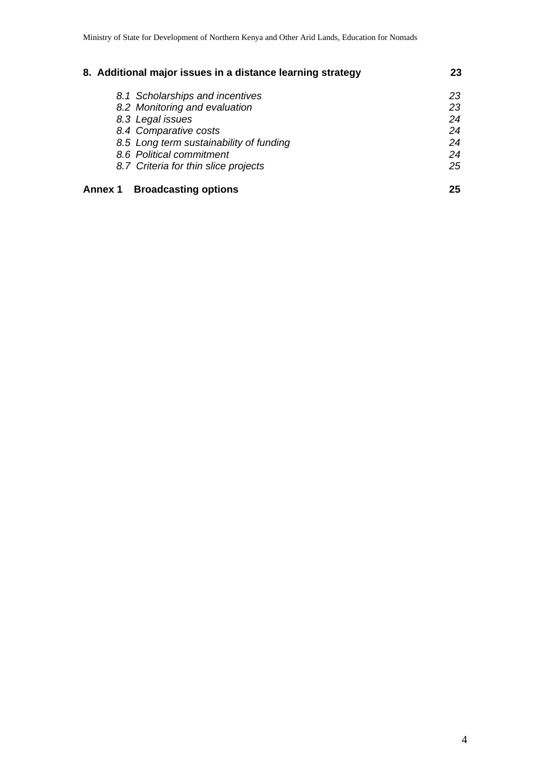| 8. Additional major issues in a distance learning strategy | 23 |
|------------------------------------------------------------|----|
| 8.1 Scholarships and incentives                            | 23 |
| 8.2 Monitoring and evaluation                              | 23 |
| 8.3 Legal issues                                           | 24 |
| 8.4 Comparative costs                                      | 24 |
| 8.5 Long term sustainability of funding                    | 24 |
| 8.6 Political commitment                                   | 24 |
| 8.7 Criteria for thin slice projects                       | 25 |
| <b>Broadcasting options</b><br><b>Annex 1</b>              | 25 |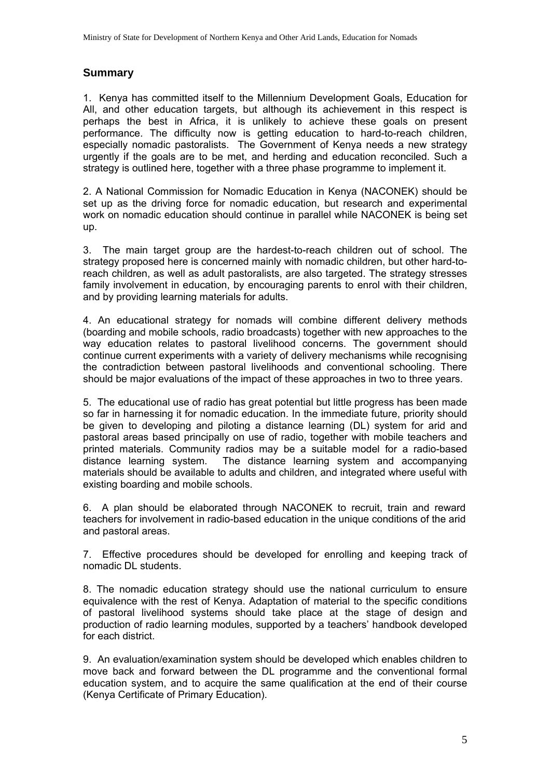# **Summary**

1. Kenya has committed itself to the Millennium Development Goals, Education for All, and other education targets, but although its achievement in this respect is perhaps the best in Africa, it is unlikely to achieve these goals on present performance. The difficulty now is getting education to hard-to-reach children, especially nomadic pastoralists. The Government of Kenya needs a new strategy urgently if the goals are to be met, and herding and education reconciled. Such a strategy is outlined here, together with a three phase programme to implement it.

2. A National Commission for Nomadic Education in Kenya (NACONEK) should be set up as the driving force for nomadic education, but research and experimental work on nomadic education should continue in parallel while NACONEK is being set up.

3. The main target group are the hardest-to-reach children out of school. The strategy proposed here is concerned mainly with nomadic children, but other hard-toreach children, as well as adult pastoralists, are also targeted. The strategy stresses family involvement in education, by encouraging parents to enrol with their children, and by providing learning materials for adults.

4. An educational strategy for nomads will combine different delivery methods (boarding and mobile schools, radio broadcasts) together with new approaches to the way education relates to pastoral livelihood concerns. The government should continue current experiments with a variety of delivery mechanisms while recognising the contradiction between pastoral livelihoods and conventional schooling. There should be major evaluations of the impact of these approaches in two to three years.

5. The educational use of radio has great potential but little progress has been made so far in harnessing it for nomadic education. In the immediate future, priority should be given to developing and piloting a distance learning (DL) system for arid and pastoral areas based principally on use of radio, together with mobile teachers and printed materials. Community radios may be a suitable model for a radio-based distance learning system. The distance learning system and accompanying materials should be available to adults and children, and integrated where useful with existing boarding and mobile schools.

6. A plan should be elaborated through NACONEK to recruit, train and reward teachers for involvement in radio-based education in the unique conditions of the arid and pastoral areas.

7. Effective procedures should be developed for enrolling and keeping track of nomadic DL students.

8. The nomadic education strategy should use the national curriculum to ensure equivalence with the rest of Kenya. Adaptation of material to the specific conditions of pastoral livelihood systems should take place at the stage of design and production of radio learning modules, supported by a teachers' handbook developed for each district.

9. An evaluation/examination system should be developed which enables children to move back and forward between the DL programme and the conventional formal education system, and to acquire the same qualification at the end of their course (Kenya Certificate of Primary Education).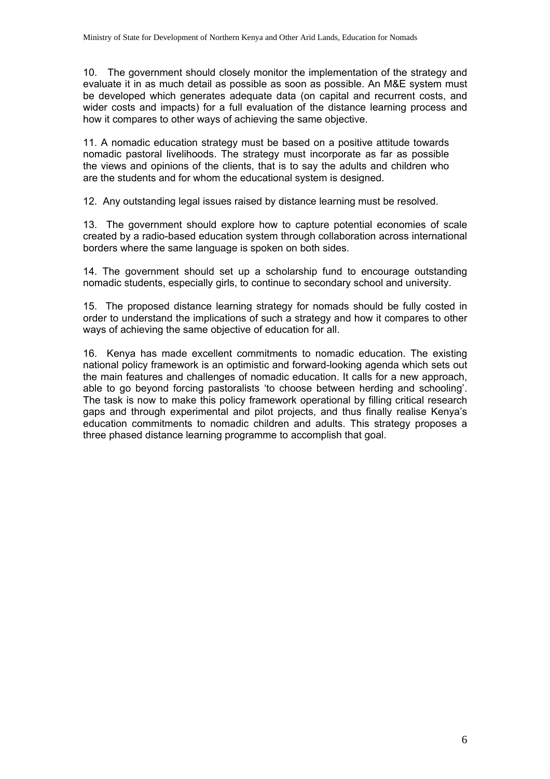10. The government should closely monitor the implementation of the strategy and evaluate it in as much detail as possible as soon as possible. An M&E system must be developed which generates adequate data (on capital and recurrent costs, and wider costs and impacts) for a full evaluation of the distance learning process and how it compares to other ways of achieving the same objective.

11. A nomadic education strategy must be based on a positive attitude towards nomadic pastoral livelihoods. The strategy must incorporate as far as possible the views and opinions of the clients, that is to say the adults and children who are the students and for whom the educational system is designed.

12. Any outstanding legal issues raised by distance learning must be resolved.

13. The government should explore how to capture potential economies of scale created by a radio-based education system through collaboration across international borders where the same language is spoken on both sides.

14. The government should set up a scholarship fund to encourage outstanding nomadic students, especially girls, to continue to secondary school and university.

15. The proposed distance learning strategy for nomads should be fully costed in order to understand the implications of such a strategy and how it compares to other ways of achieving the same objective of education for all.

16. Kenya has made excellent commitments to nomadic education. The existing national policy framework is an optimistic and forward-looking agenda which sets out the main features and challenges of nomadic education. It calls for a new approach, able to go beyond forcing pastoralists 'to choose between herding and schooling'. The task is now to make this policy framework operational by filling critical research gaps and through experimental and pilot projects, and thus finally realise Kenya's education commitments to nomadic children and adults. This strategy proposes a three phased distance learning programme to accomplish that goal.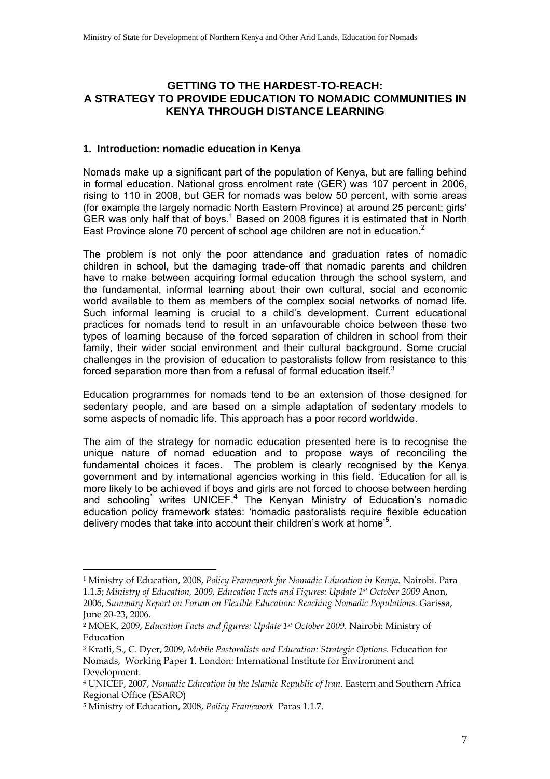# **GETTING TO THE HARDEST-TO-REACH: A STRATEGY TO PROVIDE EDUCATION TO NOMADIC COMMUNITIES IN KENYA THROUGH DISTANCE LEARNING**

#### **1. Introduction: nomadic education in Kenya**

Nomads make up a significant part of the population of Kenya, but are falling behind in formal education. National gross enrolment rate (GER) was 107 percent in 2006, rising to 110 in 2008, but GER for nomads was below 50 percent, with some areas (for example the largely nomadic North Eastern Province) at around 25 percent; girls' GER was only half that of boys.<sup>1</sup> Based on 2008 figures it is estimated that in North East Province alone 70 percent of school age children are not in education. $2$ 

The problem is not only the poor attendance and graduation rates of nomadic children in school, but the damaging trade-off that nomadic parents and children have to make between acquiring formal education through the school system, and the fundamental, informal learning about their own cultural, social and economic world available to them as members of the complex social networks of nomad life. Such informal learning is crucial to a child's development. Current educational practices for nomads tend to result in an unfavourable choice between these two types of learning because of the forced separation of children in school from their family, their wider social environment and their cultural background. Some crucial challenges in the provision of education to pastoralists follow from resistance to this forced separation more than from a refusal of formal education itself.<sup>3</sup>

Education programmes for nomads tend to be an extension of those designed for sedentary people, and are based on a simple adaptation of sedentary models to some aspects of nomadic life. This approach has a poor record worldwide.

The aim of the strategy for nomadic education presented here is to recognise the unique nature of nomad education and to propose ways of reconciling the fundamental choices it faces. The problem is clearly recognised by the Kenya government and by international agencies working in this field. 'Education for all is more likely to be achieved if boys and girls are not forced to choose between herding and schooling**'** writes UNICEF.**<sup>4</sup>** The Kenyan Ministry of Education's nomadic education policy framework states: 'nomadic pastoralists require flexible education delivery modes that take into account their children's work at home'**<sup>5</sup>** .

 $\overline{a}$ 

<sup>1</sup> Ministry of Education, 2008, *Policy Framework for Nomadic Education in Kenya.* Nairobi. Para 1.1.5; *Ministry of Education, 2009, Education Facts and Figures: Update 1st October 2009* Anon, 2006, *Summary Report on Forum on Flexible Education: Reaching Nomadic Populations.* Garissa, June 20-23, 2006.

<sup>2</sup> MOEK, 2009, *Education Facts and figures: Update 1st October 2009.* Nairobi: Ministry of Education

<sup>3</sup> Kratli, S., C. Dyer, 2009, *Mobile Pastoralists and Education: Strategic Options.* Education for Nomads, Working Paper 1. London: International Institute for Environment and Development.

<sup>4</sup> UNICEF, 2007, *Nomadic Education in the Islamic Republic of Iran.* Eastern and Southern Africa Regional Office (ESARO)

<sup>5</sup> Ministry of Education, 2008, *Policy Framework* Paras 1.1.7.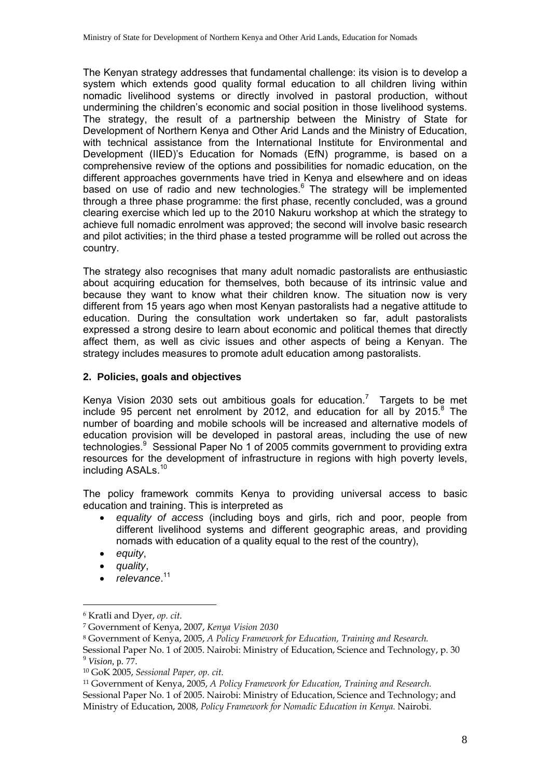The Kenyan strategy addresses that fundamental challenge: its vision is to develop a system which extends good quality formal education to all children living within nomadic livelihood systems or directly involved in pastoral production, without undermining the children's economic and social position in those livelihood systems. The strategy, the result of a partnership between the Ministry of State for Development of Northern Kenya and Other Arid Lands and the Ministry of Education, with technical assistance from the International Institute for Environmental and Development (IIED)'s Education for Nomads (EfN) programme, is based on a comprehensive review of the options and possibilities for nomadic education, on the different approaches governments have tried in Kenya and elsewhere and on ideas based on use of radio and new technologies.<sup>6</sup> The strategy will be implemented through a three phase programme: the first phase, recently concluded, was a ground clearing exercise which led up to the 2010 Nakuru workshop at which the strategy to achieve full nomadic enrolment was approved; the second will involve basic research and pilot activities; in the third phase a tested programme will be rolled out across the country.

The strategy also recognises that many adult nomadic pastoralists are enthusiastic about acquiring education for themselves, both because of its intrinsic value and because they want to know what their children know. The situation now is very different from 15 years ago when most Kenyan pastoralists had a negative attitude to education. During the consultation work undertaken so far, adult pastoralists expressed a strong desire to learn about economic and political themes that directly affect them, as well as civic issues and other aspects of being a Kenyan. The strategy includes measures to promote adult education among pastoralists.

# **2. Policies, goals and objectives**

Kenya Vision 2030 sets out ambitious goals for education.<sup>7</sup> Targets to be met include 95 percent net enrolment by 2012, and education for all by 2015. $8$  The number of boarding and mobile schools will be increased and alternative models of education provision will be developed in pastoral areas, including the use of new technologies.<sup>9</sup> Sessional Paper No 1 of 2005 commits government to providing extra resources for the development of infrastructure in regions with high poverty levels, including ASALs.<sup>10</sup>

The policy framework commits Kenya to providing universal access to basic education and training. This is interpreted as

- *equality of access* (including boys and girls, rich and poor, people from different livelihood systems and different geographic areas, and providing nomads with education of a quality equal to the rest of the country),
- *equity*,

- *quality*,
- *relevance*. 11

<sup>6</sup> Kratli and Dyer, *op. cit.* 

<sup>7</sup> Government of Kenya, 2007, *Kenya Vision 2030* 

<sup>8</sup> Government of Kenya, 2005, *A Policy Framework for Education, Training and Research.*

Sessional Paper No. 1 of 2005. Nairobi: Ministry of Education, Science and Technology, p. 30 <sup>9</sup> *Vision,* p. 77.

<sup>10</sup> GoK 2005, *Sessional Paper, op. cit.*

<sup>11</sup> Government of Kenya, 2005, *A Policy Framework for Education, Training and Research.* Sessional Paper No. 1 of 2005. Nairobi: Ministry of Education, Science and Technology; and Ministry of Education, 2008, *Policy Framework for Nomadic Education in Kenya.* Nairobi.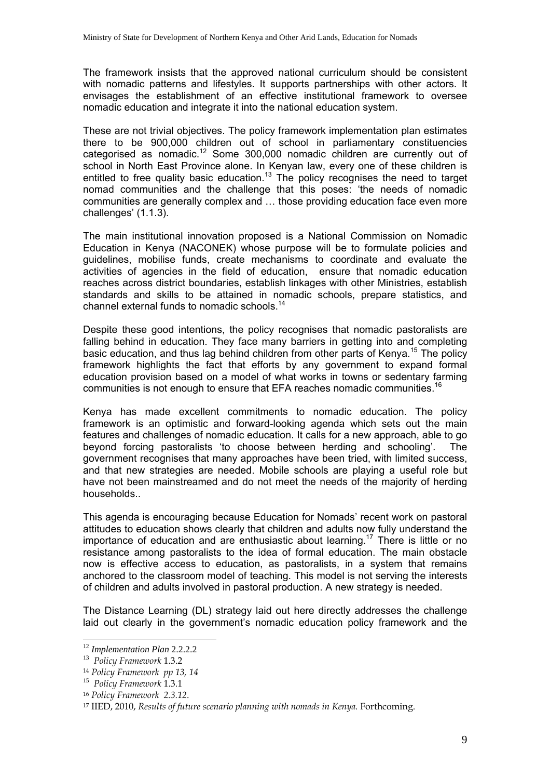The framework insists that the approved national curriculum should be consistent with nomadic patterns and lifestyles. It supports partnerships with other actors. It envisages the establishment of an effective institutional framework to oversee nomadic education and integrate it into the national education system.

These are not trivial objectives. The policy framework implementation plan estimates there to be 900,000 children out of school in parliamentary constituencies categorised as nomadic.12 Some 300,000 nomadic children are currently out of school in North East Province alone. In Kenyan law, every one of these children is entitled to free quality basic education.<sup>13</sup> The policy recognises the need to target nomad communities and the challenge that this poses: 'the needs of nomadic communities are generally complex and … those providing education face even more challenges' (1.1.3).

The main institutional innovation proposed is a National Commission on Nomadic Education in Kenya (NACONEK) whose purpose will be to formulate policies and guidelines, mobilise funds, create mechanisms to coordinate and evaluate the activities of agencies in the field of education, ensure that nomadic education reaches across district boundaries, establish linkages with other Ministries, establish standards and skills to be attained in nomadic schools, prepare statistics, and channel external funds to nomadic schools.14

Despite these good intentions, the policy recognises that nomadic pastoralists are falling behind in education. They face many barriers in getting into and completing basic education, and thus lag behind children from other parts of Kenya.<sup>15</sup> The policy framework highlights the fact that efforts by any government to expand formal education provision based on a model of what works in towns or sedentary farming communities is not enough to ensure that EFA reaches nomadic communities.<sup>16</sup>

Kenya has made excellent commitments to nomadic education. The policy framework is an optimistic and forward-looking agenda which sets out the main features and challenges of nomadic education. It calls for a new approach, able to go beyond forcing pastoralists 'to choose between herding and schooling'. The government recognises that many approaches have been tried, with limited success, and that new strategies are needed. Mobile schools are playing a useful role but have not been mainstreamed and do not meet the needs of the majority of herding households..

This agenda is encouraging because Education for Nomads' recent work on pastoral attitudes to education shows clearly that children and adults now fully understand the importance of education and are enthusiastic about learning.<sup>17</sup> There is little or no resistance among pastoralists to the idea of formal education. The main obstacle now is effective access to education, as pastoralists, in a system that remains anchored to the classroom model of teaching. This model is not serving the interests of children and adults involved in pastoral production. A new strategy is needed.

The Distance Learning (DL) strategy laid out here directly addresses the challenge laid out clearly in the government's nomadic education policy framework and the

 $\overline{a}$ 

<sup>12</sup> *Implementation Plan* 2.2.2.2 13 *Policy Framework* 1.3.2

<sup>14</sup> *Policy Framework pp 13, 14*

<sup>15</sup> *Policy Framework* 1.3.1

<sup>16</sup> *Policy Framework 2.3.12*. 17 IIED, 2010, *Results of future scenario planning with nomads in Kenya.* Forthcoming.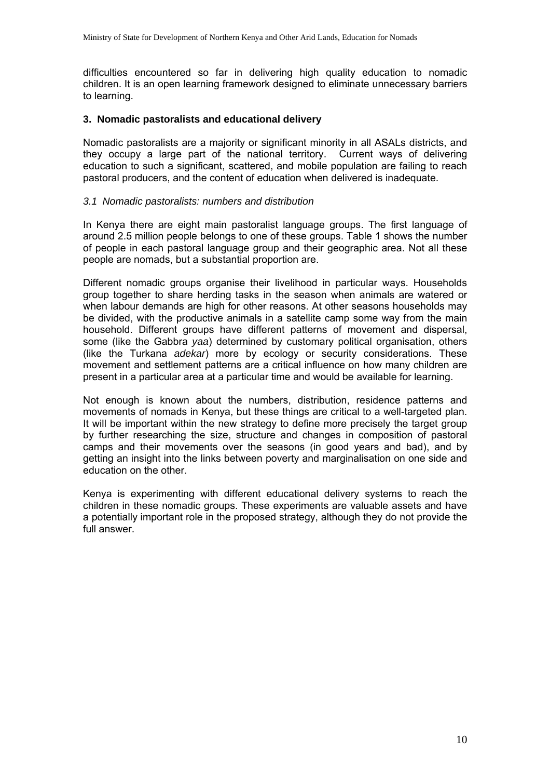difficulties encountered so far in delivering high quality education to nomadic children. It is an open learning framework designed to eliminate unnecessary barriers to learning.

### **3. Nomadic pastoralists and educational delivery**

Nomadic pastoralists are a majority or significant minority in all ASALs districts, and they occupy a large part of the national territory. Current ways of delivering education to such a significant, scattered, and mobile population are failing to reach pastoral producers, and the content of education when delivered is inadequate.

### *3.1 Nomadic pastoralists: numbers and distribution*

In Kenya there are eight main pastoralist language groups. The first language of around 2.5 million people belongs to one of these groups. Table 1 shows the number of people in each pastoral language group and their geographic area. Not all these people are nomads, but a substantial proportion are.

Different nomadic groups organise their livelihood in particular ways. Households group together to share herding tasks in the season when animals are watered or when labour demands are high for other reasons. At other seasons households may be divided, with the productive animals in a satellite camp some way from the main household. Different groups have different patterns of movement and dispersal, some (like the Gabbra *yaa*) determined by customary political organisation, others (like the Turkana *adekar*) more by ecology or security considerations. These movement and settlement patterns are a critical influence on how many children are present in a particular area at a particular time and would be available for learning.

Not enough is known about the numbers, distribution, residence patterns and movements of nomads in Kenya, but these things are critical to a well-targeted plan. It will be important within the new strategy to define more precisely the target group by further researching the size, structure and changes in composition of pastoral camps and their movements over the seasons (in good years and bad), and by getting an insight into the links between poverty and marginalisation on one side and education on the other.

Kenya is experimenting with different educational delivery systems to reach the children in these nomadic groups. These experiments are valuable assets and have a potentially important role in the proposed strategy, although they do not provide the full answer.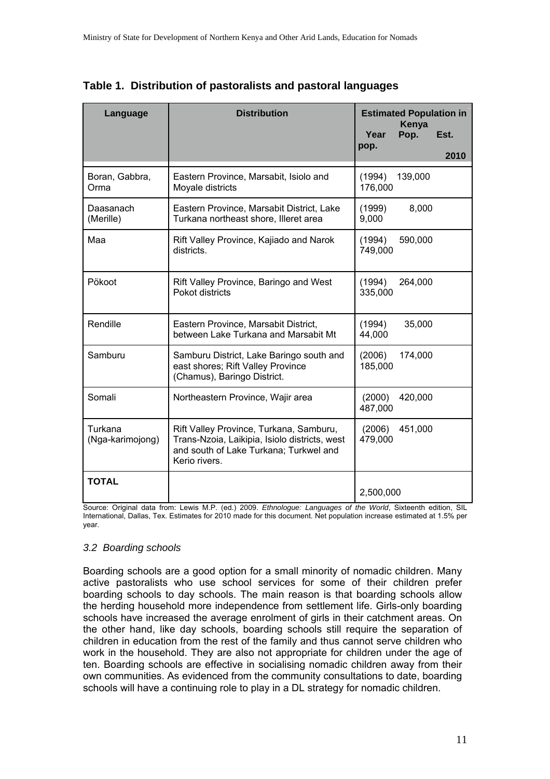| Language                    | <b>Distribution</b>                                                                                                                                 | Year<br>pop.      | <b>Estimated Population in</b><br>Kenya<br>Pop. | Est.<br>2010 |
|-----------------------------|-----------------------------------------------------------------------------------------------------------------------------------------------------|-------------------|-------------------------------------------------|--------------|
| Boran, Gabbra,<br>Orma      | Eastern Province, Marsabit, Isiolo and<br>Moyale districts                                                                                          | (1994)<br>176,000 | 139,000                                         |              |
| Daasanach<br>(Merille)      | Eastern Province, Marsabit District, Lake<br>Turkana northeast shore, Illeret area                                                                  | (1999)<br>9,000   | 8,000                                           |              |
| Maa                         | Rift Valley Province, Kajiado and Narok<br>districts.                                                                                               | (1994)<br>749,000 | 590,000                                         |              |
| Pökoot                      | Rift Valley Province, Baringo and West<br>Pokot districts                                                                                           | (1994)<br>335,000 | 264,000                                         |              |
| Rendille                    | Eastern Province, Marsabit District,<br>between Lake Turkana and Marsabit Mt                                                                        | (1994)<br>44,000  | 35,000                                          |              |
| Samburu                     | Samburu District, Lake Baringo south and<br>east shores; Rift Valley Province<br>(Chamus), Baringo District.                                        | (2006)<br>185,000 | 174,000                                         |              |
| Somali                      | Northeastern Province, Wajir area                                                                                                                   | (2000)<br>487,000 | 420,000                                         |              |
| Turkana<br>(Nga-karimojong) | Rift Valley Province, Turkana, Samburu,<br>Trans-Nzoia, Laikipia, Isiolo districts, west<br>and south of Lake Turkana; Turkwel and<br>Kerio rivers. | (2006)<br>479,000 | 451,000                                         |              |
| <b>TOTAL</b>                |                                                                                                                                                     | 2,500,000         |                                                 |              |

**Table 1. Distribution of pastoralists and pastoral languages**

Source: Original data from: Lewis M.P. (ed.) 2009. *Ethnologue: Languages of the World*, Sixteenth edition, SIL International, Dallas, Tex. Estimates for 2010 made for this document. Net population increase estimated at 1.5% per year.

### *3.2 Boarding schools*

Boarding schools are a good option for a small minority of nomadic children. Many active pastoralists who use school services for some of their children prefer boarding schools to day schools. The main reason is that boarding schools allow the herding household more independence from settlement life. Girls-only boarding schools have increased the average enrolment of girls in their catchment areas. On the other hand, like day schools, boarding schools still require the separation of children in education from the rest of the family and thus cannot serve children who work in the household. They are also not appropriate for children under the age of ten. Boarding schools are effective in socialising nomadic children away from their own communities. As evidenced from the community consultations to date, boarding schools will have a continuing role to play in a DL strategy for nomadic children.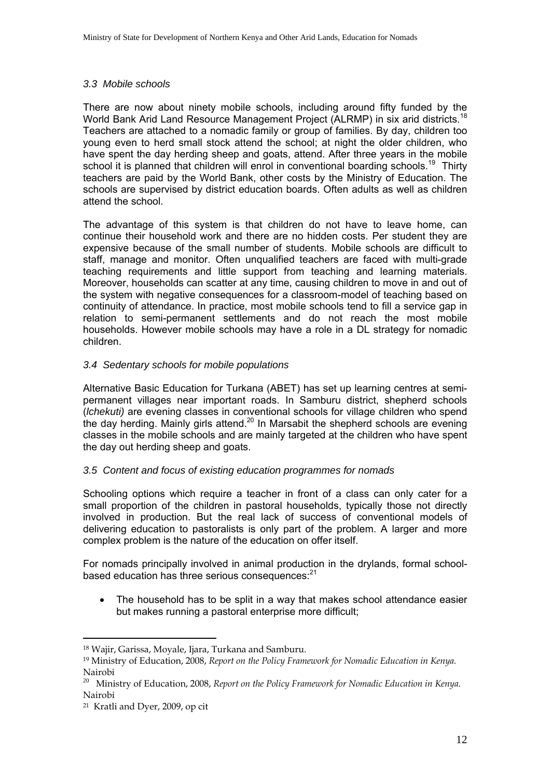### *3.3 Mobile schools*

There are now about ninety mobile schools, including around fifty funded by the World Bank Arid Land Resource Management Project (ALRMP) in six arid districts.<sup>18</sup> Teachers are attached to a nomadic family or group of families. By day, children too young even to herd small stock attend the school; at night the older children, who have spent the day herding sheep and goats, attend. After three years in the mobile school it is planned that children will enrol in conventional boarding schools.<sup>19</sup> Thirty teachers are paid by the World Bank, other costs by the Ministry of Education. The schools are supervised by district education boards. Often adults as well as children attend the school.

The advantage of this system is that children do not have to leave home, can continue their household work and there are no hidden costs. Per student they are expensive because of the small number of students. Mobile schools are difficult to staff, manage and monitor. Often unqualified teachers are faced with multi-grade teaching requirements and little support from teaching and learning materials. Moreover, households can scatter at any time, causing children to move in and out of the system with negative consequences for a classroom-model of teaching based on continuity of attendance. In practice, most mobile schools tend to fill a service gap in relation to semi-permanent settlements and do not reach the most mobile households. However mobile schools may have a role in a DL strategy for nomadic children.

### *3.4 Sedentary schools for mobile populations*

Alternative Basic Education for Turkana (ABET) has set up learning centres at semipermanent villages near important roads. In Samburu district, shepherd schools (*lchekuti)* are evening classes in conventional schools for village children who spend the day herding. Mainly girls attend.<sup>20</sup> In Marsabit the shepherd schools are evening classes in the mobile schools and are mainly targeted at the children who have spent the day out herding sheep and goats.

### *3.5 Content and focus of existing education programmes for nomads*

Schooling options which require a teacher in front of a class can only cater for a small proportion of the children in pastoral households, typically those not directly involved in production. But the real lack of success of conventional models of delivering education to pastoralists is only part of the problem. A larger and more complex problem is the nature of the education on offer itself.

For nomads principally involved in animal production in the drylands, formal schoolbased education has three serious consequences:<sup>21</sup>

The household has to be split in a way that makes school attendance easier but makes running a pastoral enterprise more difficult;

 $\overline{a}$ 

<sup>&</sup>lt;sup>18</sup> Wajir, Garissa, Movale, Ijara, Turkana and Samburu.

<sup>19</sup> Ministry of Education, 2008, *Report on the Policy Framework for Nomadic Education in Kenya.* Nairobi

<sup>20</sup> Ministry of Education, 2008, *Report on the Policy Framework for Nomadic Education in Kenya.* Nairobi

<sup>21</sup> Kratli and Dyer, 2009, op cit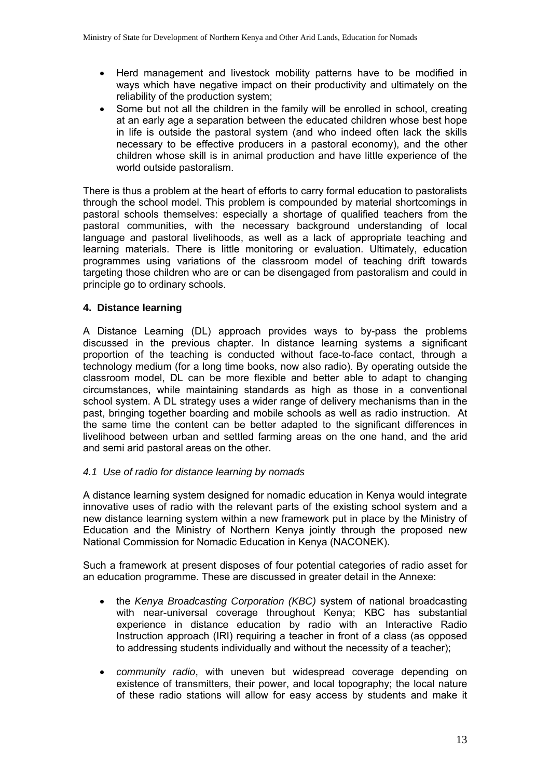- Herd management and livestock mobility patterns have to be modified in ways which have negative impact on their productivity and ultimately on the reliability of the production system;
- Some but not all the children in the family will be enrolled in school, creating at an early age a separation between the educated children whose best hope in life is outside the pastoral system (and who indeed often lack the skills necessary to be effective producers in a pastoral economy), and the other children whose skill is in animal production and have little experience of the world outside pastoralism.

There is thus a problem at the heart of efforts to carry formal education to pastoralists through the school model. This problem is compounded by material shortcomings in pastoral schools themselves: especially a shortage of qualified teachers from the pastoral communities, with the necessary background understanding of local language and pastoral livelihoods, as well as a lack of appropriate teaching and learning materials. There is little monitoring or evaluation. Ultimately, education programmes using variations of the classroom model of teaching drift towards targeting those children who are or can be disengaged from pastoralism and could in principle go to ordinary schools.

# **4. Distance learning**

A Distance Learning (DL) approach provides ways to by-pass the problems discussed in the previous chapter. In distance learning systems a significant proportion of the teaching is conducted without face-to-face contact, through a technology medium (for a long time books, now also radio). By operating outside the classroom model, DL can be more flexible and better able to adapt to changing circumstances, while maintaining standards as high as those in a conventional school system. A DL strategy uses a wider range of delivery mechanisms than in the past, bringing together boarding and mobile schools as well as radio instruction. At the same time the content can be better adapted to the significant differences in livelihood between urban and settled farming areas on the one hand, and the arid and semi arid pastoral areas on the other.

### *4.1 Use of radio for distance learning by nomads*

A distance learning system designed for nomadic education in Kenya would integrate innovative uses of radio with the relevant parts of the existing school system and a new distance learning system within a new framework put in place by the Ministry of Education and the Ministry of Northern Kenya jointly through the proposed new National Commission for Nomadic Education in Kenya (NACONEK).

Such a framework at present disposes of four potential categories of radio asset for an education programme. These are discussed in greater detail in the Annexe:

- the *Kenya Broadcasting Corporation (KBC)* system of national broadcasting with near-universal coverage throughout Kenya; KBC has substantial experience in distance education by radio with an Interactive Radio Instruction approach (IRI) requiring a teacher in front of a class (as opposed to addressing students individually and without the necessity of a teacher);
- *community radio*, with uneven but widespread coverage depending on existence of transmitters, their power, and local topography; the local nature of these radio stations will allow for easy access by students and make it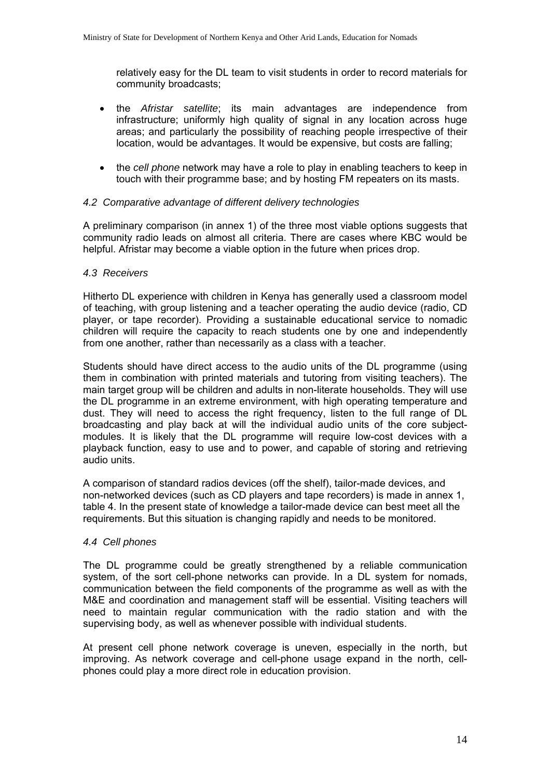relatively easy for the DL team to visit students in order to record materials for community broadcasts;

- the *Afristar satellite*; its main advantages are independence from infrastructure; uniformly high quality of signal in any location across huge areas; and particularly the possibility of reaching people irrespective of their location, would be advantages. It would be expensive, but costs are falling;
- the *cell phone* network may have a role to play in enabling teachers to keep in touch with their programme base; and by hosting FM repeaters on its masts.

### *4.2 Comparative advantage of different delivery technologies*

A preliminary comparison (in annex 1) of the three most viable options suggests that community radio leads on almost all criteria. There are cases where KBC would be helpful. Afristar may become a viable option in the future when prices drop.

#### *4.3 Receivers*

Hitherto DL experience with children in Kenya has generally used a classroom model of teaching, with group listening and a teacher operating the audio device (radio, CD player, or tape recorder). Providing a sustainable educational service to nomadic children will require the capacity to reach students one by one and independently from one another, rather than necessarily as a class with a teacher.

Students should have direct access to the audio units of the DL programme (using them in combination with printed materials and tutoring from visiting teachers). The main target group will be children and adults in non-literate households. They will use the DL programme in an extreme environment, with high operating temperature and dust. They will need to access the right frequency, listen to the full range of DL broadcasting and play back at will the individual audio units of the core subjectmodules. It is likely that the DL programme will require low-cost devices with a playback function, easy to use and to power, and capable of storing and retrieving audio units.

A comparison of standard radios devices (off the shelf), tailor-made devices, and non-networked devices (such as CD players and tape recorders) is made in annex 1, table 4. In the present state of knowledge a tailor-made device can best meet all the requirements. But this situation is changing rapidly and needs to be monitored.

#### *4.4 Cell phones*

The DL programme could be greatly strengthened by a reliable communication system, of the sort cell-phone networks can provide. In a DL system for nomads, communication between the field components of the programme as well as with the M&E and coordination and management staff will be essential. Visiting teachers will need to maintain regular communication with the radio station and with the supervising body, as well as whenever possible with individual students.

At present cell phone network coverage is uneven, especially in the north, but improving. As network coverage and cell-phone usage expand in the north, cellphones could play a more direct role in education provision.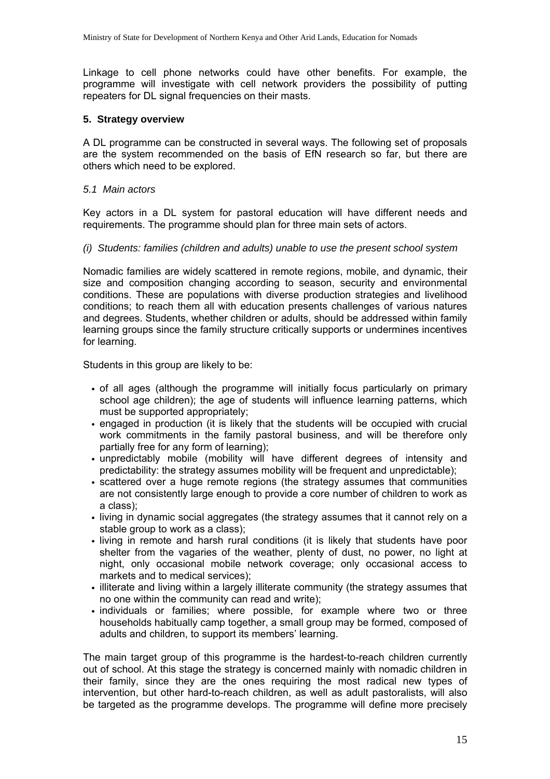Linkage to cell phone networks could have other benefits. For example, the programme will investigate with cell network providers the possibility of putting repeaters for DL signal frequencies on their masts.

#### **5. Strategy overview**

A DL programme can be constructed in several ways. The following set of proposals are the system recommended on the basis of EfN research so far, but there are others which need to be explored.

*5.1 Main actors* 

Key actors in a DL system for pastoral education will have different needs and requirements. The programme should plan for three main sets of actors.

*(i) Students: families (children and adults) unable to use the present school system* 

Nomadic families are widely scattered in remote regions, mobile, and dynamic, their size and composition changing according to season, security and environmental conditions. These are populations with diverse production strategies and livelihood conditions; to reach them all with education presents challenges of various natures and degrees. Students, whether children or adults, should be addressed within family learning groups since the family structure critically supports or undermines incentives for learning.

Students in this group are likely to be:

- of all ages (although the programme will initially focus particularly on primary school age children); the age of students will influence learning patterns, which must be supported appropriately;
- engaged in production (it is likely that the students will be occupied with crucial work commitments in the family pastoral business, and will be therefore only partially free for any form of learning);
- unpredictably mobile (mobility will have different degrees of intensity and predictability: the strategy assumes mobility will be frequent and unpredictable);
- scattered over a huge remote regions (the strategy assumes that communities are not consistently large enough to provide a core number of children to work as a class);
- living in dynamic social aggregates (the strategy assumes that it cannot rely on a stable group to work as a class);
- living in remote and harsh rural conditions (it is likely that students have poor shelter from the vagaries of the weather, plenty of dust, no power, no light at night, only occasional mobile network coverage; only occasional access to markets and to medical services);
- illiterate and living within a largely illiterate community (the strategy assumes that no one within the community can read and write);
- individuals or families; where possible, for example where two or three households habitually camp together, a small group may be formed, composed of adults and children, to support its members' learning.

The main target group of this programme is the hardest-to-reach children currently out of school. At this stage the strategy is concerned mainly with nomadic children in their family, since they are the ones requiring the most radical new types of intervention, but other hard-to-reach children, as well as adult pastoralists, will also be targeted as the programme develops. The programme will define more precisely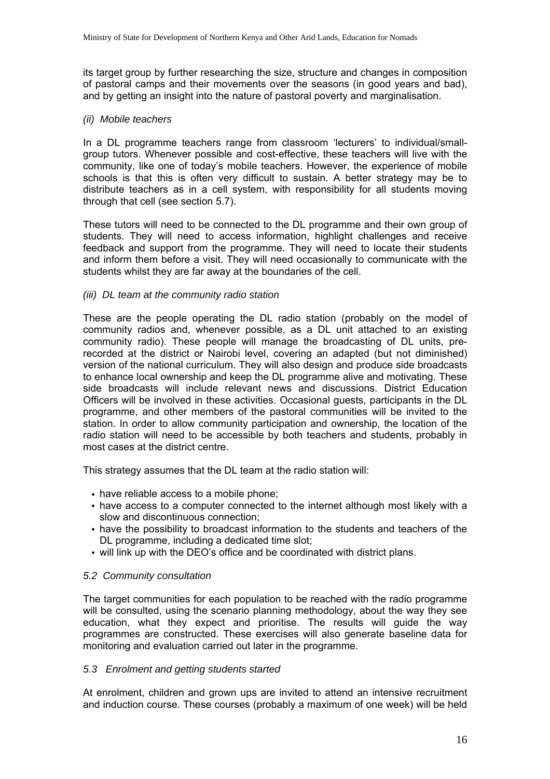its target group by further researching the size, structure and changes in composition of pastoral camps and their movements over the seasons (in good years and bad), and by getting an insight into the nature of pastoral poverty and marginalisation.

#### *(ii) Mobile teachers*

In a DL programme teachers range from classroom 'lecturers' to individual/smallgroup tutors. Whenever possible and cost-effective, these teachers will live with the community, like one of today's mobile teachers. However, the experience of mobile schools is that this is often very difficult to sustain. A better strategy may be to distribute teachers as in a cell system, with responsibility for all students moving through that cell (see section 5.7).

These tutors will need to be connected to the DL programme and their own group of students. They will need to access information, highlight challenges and receive feedback and support from the programme. They will need to locate their students and inform them before a visit. They will need occasionally to communicate with the students whilst they are far away at the boundaries of the cell.

#### *(iii) DL team at the community radio station*

These are the people operating the DL radio station (probably on the model of community radios and, whenever possible, as a DL unit attached to an existing community radio). These people will manage the broadcasting of DL units, prerecorded at the district or Nairobi level, covering an adapted (but not diminished) version of the national curriculum. They will also design and produce side broadcasts to enhance local ownership and keep the DL programme alive and motivating. These side broadcasts will include relevant news and discussions. District Education Officers will be involved in these activities. Occasional guests, participants in the DL programme, and other members of the pastoral communities will be invited to the station. In order to allow community participation and ownership, the location of the radio station will need to be accessible by both teachers and students, probably in most cases at the district centre.

This strategy assumes that the DL team at the radio station will:

- have reliable access to a mobile phone;
- have access to a computer connected to the internet although most likely with a slow and discontinuous connection;
- have the possibility to broadcast information to the students and teachers of the DL programme, including a dedicated time slot;
- will link up with the DEO's office and be coordinated with district plans.

### *5.2 Community consultation*

The target communities for each population to be reached with the radio programme will be consulted, using the scenario planning methodology, about the way they see education, what they expect and prioritise. The results will guide the way programmes are constructed. These exercises will also generate baseline data for monitoring and evaluation carried out later in the programme.

#### *5.3 Enrolment and getting students started*

At enrolment, children and grown ups are invited to attend an intensive recruitment and induction course. These courses (probably a maximum of one week) will be held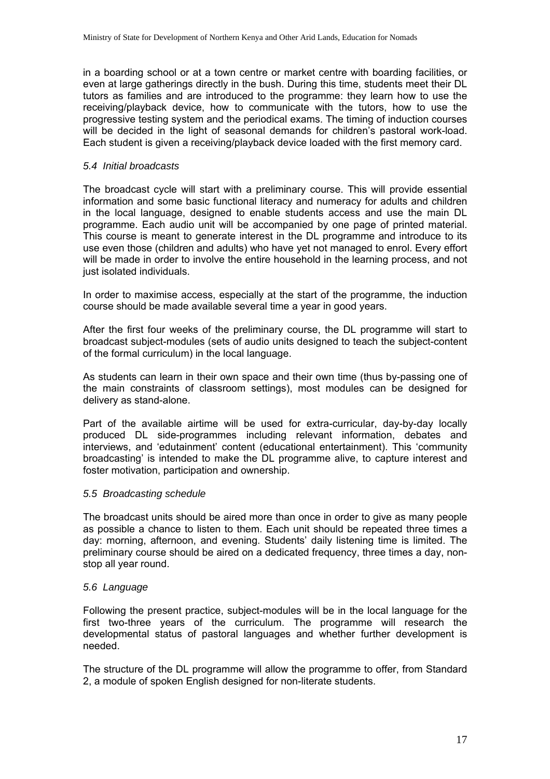in a boarding school or at a town centre or market centre with boarding facilities, or even at large gatherings directly in the bush. During this time, students meet their DL tutors as families and are introduced to the programme: they learn how to use the receiving/playback device, how to communicate with the tutors, how to use the progressive testing system and the periodical exams. The timing of induction courses will be decided in the light of seasonal demands for children's pastoral work-load. Each student is given a receiving/playback device loaded with the first memory card.

#### *5.4 Initial broadcasts*

The broadcast cycle will start with a preliminary course. This will provide essential information and some basic functional literacy and numeracy for adults and children in the local language, designed to enable students access and use the main DL programme. Each audio unit will be accompanied by one page of printed material. This course is meant to generate interest in the DL programme and introduce to its use even those (children and adults) who have yet not managed to enrol. Every effort will be made in order to involve the entire household in the learning process, and not just isolated individuals.

In order to maximise access, especially at the start of the programme, the induction course should be made available several time a year in good years.

After the first four weeks of the preliminary course, the DL programme will start to broadcast subject-modules (sets of audio units designed to teach the subject-content of the formal curriculum) in the local language.

As students can learn in their own space and their own time (thus by-passing one of the main constraints of classroom settings), most modules can be designed for delivery as stand-alone.

Part of the available airtime will be used for extra-curricular, day-by-day locally produced DL side-programmes including relevant information, debates and interviews, and 'edutainment' content (educational entertainment). This 'community broadcasting' is intended to make the DL programme alive, to capture interest and foster motivation, participation and ownership.

#### *5.5 Broadcasting schedule*

The broadcast units should be aired more than once in order to give as many people as possible a chance to listen to them. Each unit should be repeated three times a day: morning, afternoon, and evening. Students' daily listening time is limited. The preliminary course should be aired on a dedicated frequency, three times a day, nonstop all year round.

#### *5.6 Language*

Following the present practice, subject-modules will be in the local language for the first two-three years of the curriculum. The programme will research the developmental status of pastoral languages and whether further development is needed.

The structure of the DL programme will allow the programme to offer, from Standard 2, a module of spoken English designed for non-literate students.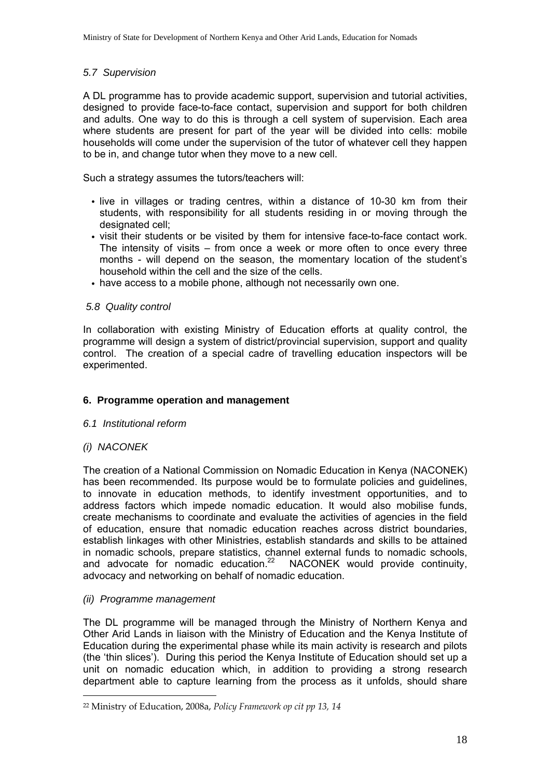### *5.7 Supervision*

A DL programme has to provide academic support, supervision and tutorial activities, designed to provide face-to-face contact, supervision and support for both children and adults. One way to do this is through a cell system of supervision. Each area where students are present for part of the year will be divided into cells: mobile households will come under the supervision of the tutor of whatever cell they happen to be in, and change tutor when they move to a new cell.

Such a strategy assumes the tutors/teachers will:

- live in villages or trading centres, within a distance of 10-30 km from their students, with responsibility for all students residing in or moving through the designated cell:
- visit their students or be visited by them for intensive face-to-face contact work. The intensity of visits – from once a week or more often to once every three months - will depend on the season, the momentary location of the student's household within the cell and the size of the cells.
- have access to a mobile phone, although not necessarily own one.

# *5.8 Quality control*

In collaboration with existing Ministry of Education efforts at quality control, the programme will design a system of district/provincial supervision, support and quality control. The creation of a special cadre of travelling education inspectors will be experimented.

# **6. Programme operation and management**

### *6.1 Institutional reform*

### *(i) NACONEK*

 $\overline{a}$ 

The creation of a National Commission on Nomadic Education in Kenya (NACONEK) has been recommended. Its purpose would be to formulate policies and guidelines, to innovate in education methods, to identify investment opportunities, and to address factors which impede nomadic education. It would also mobilise funds, create mechanisms to coordinate and evaluate the activities of agencies in the field of education, ensure that nomadic education reaches across district boundaries, establish linkages with other Ministries, establish standards and skills to be attained in nomadic schools, prepare statistics, channel external funds to nomadic schools, and advocate for nomadic education.<sup>22</sup> NACONEK would provide continuity, advocacy and networking on behalf of nomadic education.

### *(ii) Programme management*

The DL programme will be managed through the Ministry of Northern Kenya and Other Arid Lands in liaison with the Ministry of Education and the Kenya Institute of Education during the experimental phase while its main activity is research and pilots (the 'thin slices'). During this period the Kenya Institute of Education should set up a unit on nomadic education which, in addition to providing a strong research department able to capture learning from the process as it unfolds, should share

<sup>22</sup> Ministry of Education, 2008a, *Policy Framework op cit pp 13, 14*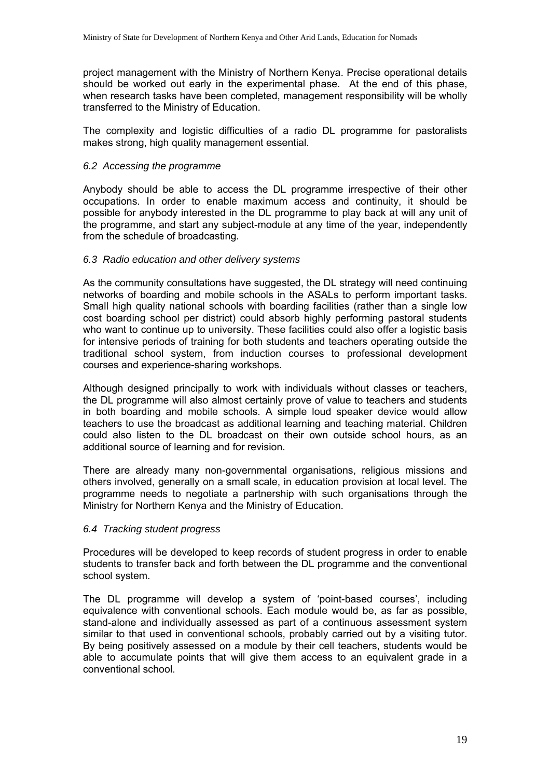project management with the Ministry of Northern Kenya. Precise operational details should be worked out early in the experimental phase. At the end of this phase, when research tasks have been completed, management responsibility will be wholly transferred to the Ministry of Education.

The complexity and logistic difficulties of a radio DL programme for pastoralists makes strong, high quality management essential.

### *6.2 Accessing the programme*

Anybody should be able to access the DL programme irrespective of their other occupations. In order to enable maximum access and continuity, it should be possible for anybody interested in the DL programme to play back at will any unit of the programme, and start any subject-module at any time of the year, independently from the schedule of broadcasting.

#### *6.3 Radio education and other delivery systems*

As the community consultations have suggested, the DL strategy will need continuing networks of boarding and mobile schools in the ASALs to perform important tasks. Small high quality national schools with boarding facilities (rather than a single low cost boarding school per district) could absorb highly performing pastoral students who want to continue up to university. These facilities could also offer a logistic basis for intensive periods of training for both students and teachers operating outside the traditional school system, from induction courses to professional development courses and experience-sharing workshops.

Although designed principally to work with individuals without classes or teachers, the DL programme will also almost certainly prove of value to teachers and students in both boarding and mobile schools. A simple loud speaker device would allow teachers to use the broadcast as additional learning and teaching material. Children could also listen to the DL broadcast on their own outside school hours, as an additional source of learning and for revision.

There are already many non-governmental organisations, religious missions and others involved, generally on a small scale, in education provision at local level. The programme needs to negotiate a partnership with such organisations through the Ministry for Northern Kenya and the Ministry of Education.

### *6.4 Tracking student progress*

Procedures will be developed to keep records of student progress in order to enable students to transfer back and forth between the DL programme and the conventional school system.

The DL programme will develop a system of 'point-based courses', including equivalence with conventional schools. Each module would be, as far as possible, stand-alone and individually assessed as part of a continuous assessment system similar to that used in conventional schools, probably carried out by a visiting tutor. By being positively assessed on a module by their cell teachers, students would be able to accumulate points that will give them access to an equivalent grade in a conventional school.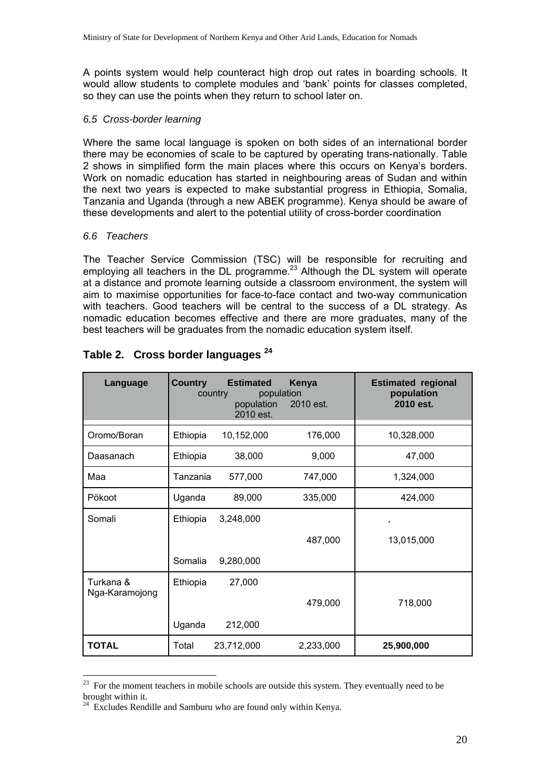A points system would help counteract high drop out rates in boarding schools. It would allow students to complete modules and 'bank' points for classes completed, so they can use the points when they return to school later on.

#### *6.5 Cross-border learning*

Where the same local language is spoken on both sides of an international border there may be economies of scale to be captured by operating trans-nationally. Table 2 shows in simplified form the main places where this occurs on Kenya's borders. Work on nomadic education has started in neighbouring areas of Sudan and within the next two years is expected to make substantial progress in Ethiopia, Somalia, Tanzania and Uganda (through a new ABEK programme). Kenya should be aware of these developments and alert to the potential utility of cross-border coordination

#### *6.6 Teachers*

 $\overline{a}$ 

The Teacher Service Commission (TSC) will be responsible for recruiting and employing all teachers in the DL programme.<sup>23</sup> Although the DL system will operate at a distance and promote learning outside a classroom environment, the system will aim to maximise opportunities for face-to-face contact and two-way communication with teachers. Good teachers will be central to the success of a DL strategy. As nomadic education becomes effective and there are more graduates, many of the best teachers will be graduates from the nomadic education system itself.

| Language                    | <b>Country</b>      | <b>Estimated</b><br>country<br>population<br>population<br>2010 est. | Kenya<br>2010 est. | <b>Estimated regional</b><br>population<br>2010 est. |
|-----------------------------|---------------------|----------------------------------------------------------------------|--------------------|------------------------------------------------------|
| Oromo/Boran                 | Ethiopia            | 10,152,000                                                           | 176,000            | 10,328,000                                           |
| Daasanach                   | Ethiopia            | 38,000                                                               | 9,000              | 47,000                                               |
| Maa                         | Tanzania            | 577,000                                                              | 747,000            | 1,324,000                                            |
| Pökoot                      | Uganda              | 89,000                                                               | 335,000            | 424,000                                              |
| Somali                      | Ethiopia<br>Somalia | 3,248,000<br>9,280,000                                               | 487,000            | ,<br>13,015,000                                      |
| Turkana &<br>Nga-Karamojong | Ethiopia<br>Uganda  | 27,000<br>212,000                                                    | 479,000            | 718,000                                              |
| <b>TOTAL</b>                | Total               | 23,712,000                                                           | 2,233,000          | 25,900,000                                           |

# **Table 2. Cross border languages <sup>24</sup>**

<sup>&</sup>lt;sup>23</sup> For the moment teachers in mobile schools are outside this system. They eventually need to be brought within it.

 $24$  Excludes Rendille and Samburu who are found only within Kenya.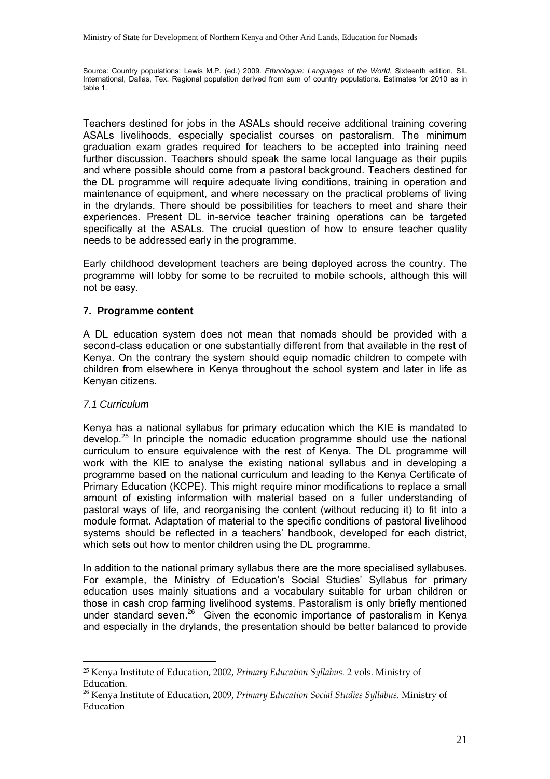Source: Country populations: Lewis M.P. (ed.) 2009. *Ethnologue: Languages of the World*, Sixteenth edition, SIL International, Dallas, Tex. Regional population derived from sum of country populations. Estimates for 2010 as in table 1.

Teachers destined for jobs in the ASALs should receive additional training covering ASALs livelihoods, especially specialist courses on pastoralism. The minimum graduation exam grades required for teachers to be accepted into training need further discussion. Teachers should speak the same local language as their pupils and where possible should come from a pastoral background. Teachers destined for the DL programme will require adequate living conditions, training in operation and maintenance of equipment, and where necessary on the practical problems of living in the drylands. There should be possibilities for teachers to meet and share their experiences. Present DL in-service teacher training operations can be targeted specifically at the ASALs. The crucial question of how to ensure teacher quality needs to be addressed early in the programme.

Early childhood development teachers are being deployed across the country. The programme will lobby for some to be recruited to mobile schools, although this will not be easy.

### **7. Programme content**

A DL education system does not mean that nomads should be provided with a second-class education or one substantially different from that available in the rest of Kenya. On the contrary the system should equip nomadic children to compete with children from elsewhere in Kenya throughout the school system and later in life as Kenyan citizens.

#### *7.1 Curriculum*

 $\overline{a}$ 

Kenya has a national syllabus for primary education which the KIE is mandated to develop.<sup>25</sup> In principle the nomadic education programme should use the national curriculum to ensure equivalence with the rest of Kenya. The DL programme will work with the KIE to analyse the existing national syllabus and in developing a programme based on the national curriculum and leading to the Kenya Certificate of Primary Education (KCPE). This might require minor modifications to replace a small amount of existing information with material based on a fuller understanding of pastoral ways of life, and reorganising the content (without reducing it) to fit into a module format. Adaptation of material to the specific conditions of pastoral livelihood systems should be reflected in a teachers' handbook, developed for each district, which sets out how to mentor children using the DL programme.

In addition to the national primary syllabus there are the more specialised syllabuses. For example, the Ministry of Education's Social Studies' Syllabus for primary education uses mainly situations and a vocabulary suitable for urban children or those in cash crop farming livelihood systems. Pastoralism is only briefly mentioned under standard seven.<sup>26</sup> Given the economic importance of pastoralism in Kenya and especially in the drylands, the presentation should be better balanced to provide

<sup>25</sup> Kenya Institute of Education, 2002, *Primary Education Syllabus.* 2 vols. Ministry of Education.

<sup>26</sup> Kenya Institute of Education, 2009, *Primary Education Social Studies Syllabus.* Ministry of Education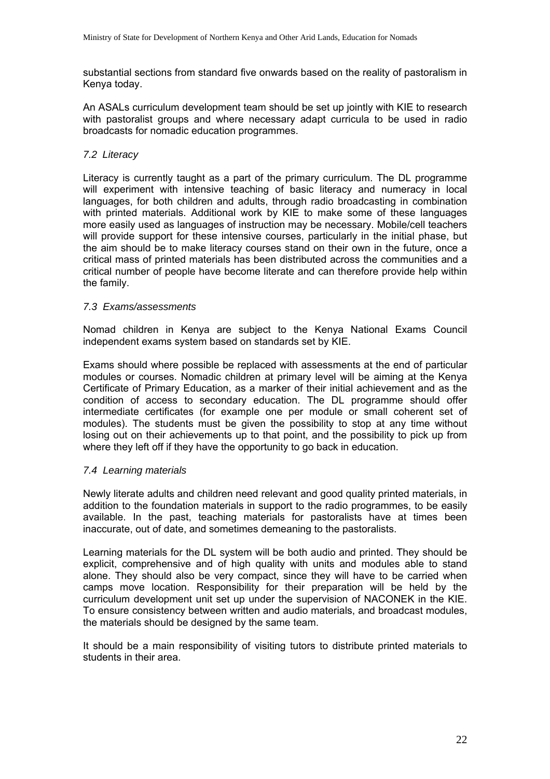substantial sections from standard five onwards based on the reality of pastoralism in Kenya today.

An ASALs curriculum development team should be set up jointly with KIE to research with pastoralist groups and where necessary adapt curricula to be used in radio broadcasts for nomadic education programmes.

# *7.2 Literacy*

Literacy is currently taught as a part of the primary curriculum. The DL programme will experiment with intensive teaching of basic literacy and numeracy in local languages, for both children and adults, through radio broadcasting in combination with printed materials. Additional work by KIE to make some of these languages more easily used as languages of instruction may be necessary. Mobile/cell teachers will provide support for these intensive courses, particularly in the initial phase, but the aim should be to make literacy courses stand on their own in the future, once a critical mass of printed materials has been distributed across the communities and a critical number of people have become literate and can therefore provide help within the family.

# *7.3 Exams/assessments*

Nomad children in Kenya are subject to the Kenya National Exams Council independent exams system based on standards set by KIE.

Exams should where possible be replaced with assessments at the end of particular modules or courses. Nomadic children at primary level will be aiming at the Kenya Certificate of Primary Education, as a marker of their initial achievement and as the condition of access to secondary education. The DL programme should offer intermediate certificates (for example one per module or small coherent set of modules). The students must be given the possibility to stop at any time without losing out on their achievements up to that point, and the possibility to pick up from where they left off if they have the opportunity to go back in education.

### *7.4 Learning materials*

Newly literate adults and children need relevant and good quality printed materials, in addition to the foundation materials in support to the radio programmes, to be easily available. In the past, teaching materials for pastoralists have at times been inaccurate, out of date, and sometimes demeaning to the pastoralists.

Learning materials for the DL system will be both audio and printed. They should be explicit, comprehensive and of high quality with units and modules able to stand alone. They should also be very compact, since they will have to be carried when camps move location. Responsibility for their preparation will be held by the curriculum development unit set up under the supervision of NACONEK in the KIE. To ensure consistency between written and audio materials, and broadcast modules, the materials should be designed by the same team.

It should be a main responsibility of visiting tutors to distribute printed materials to students in their area.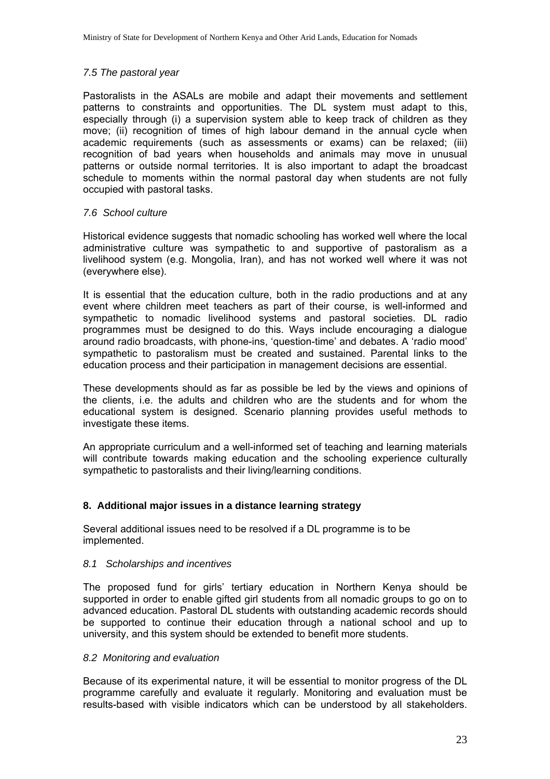### *7.5 The pastoral year*

Pastoralists in the ASALs are mobile and adapt their movements and settlement patterns to constraints and opportunities. The DL system must adapt to this, especially through (i) a supervision system able to keep track of children as they move; (ii) recognition of times of high labour demand in the annual cycle when academic requirements (such as assessments or exams) can be relaxed; (iii) recognition of bad years when households and animals may move in unusual patterns or outside normal territories. It is also important to adapt the broadcast schedule to moments within the normal pastoral day when students are not fully occupied with pastoral tasks.

# *7.6 School culture*

Historical evidence suggests that nomadic schooling has worked well where the local administrative culture was sympathetic to and supportive of pastoralism as a livelihood system (e.g. Mongolia, Iran), and has not worked well where it was not (everywhere else).

It is essential that the education culture, both in the radio productions and at any event where children meet teachers as part of their course, is well-informed and sympathetic to nomadic livelihood systems and pastoral societies. DL radio programmes must be designed to do this. Ways include encouraging a dialogue around radio broadcasts, with phone-ins, 'question-time' and debates. A 'radio mood' sympathetic to pastoralism must be created and sustained. Parental links to the education process and their participation in management decisions are essential.

These developments should as far as possible be led by the views and opinions of the clients, i.e. the adults and children who are the students and for whom the educational system is designed. Scenario planning provides useful methods to investigate these items.

An appropriate curriculum and a well-informed set of teaching and learning materials will contribute towards making education and the schooling experience culturally sympathetic to pastoralists and their living/learning conditions.

# **8. Additional major issues in a distance learning strategy**

Several additional issues need to be resolved if a DL programme is to be implemented.

### *8.1 Scholarships and incentives*

The proposed fund for girls' tertiary education in Northern Kenya should be supported in order to enable gifted girl students from all nomadic groups to go on to advanced education. Pastoral DL students with outstanding academic records should be supported to continue their education through a national school and up to university, and this system should be extended to benefit more students.

### *8.2 Monitoring and evaluation*

Because of its experimental nature, it will be essential to monitor progress of the DL programme carefully and evaluate it regularly. Monitoring and evaluation must be results-based with visible indicators which can be understood by all stakeholders.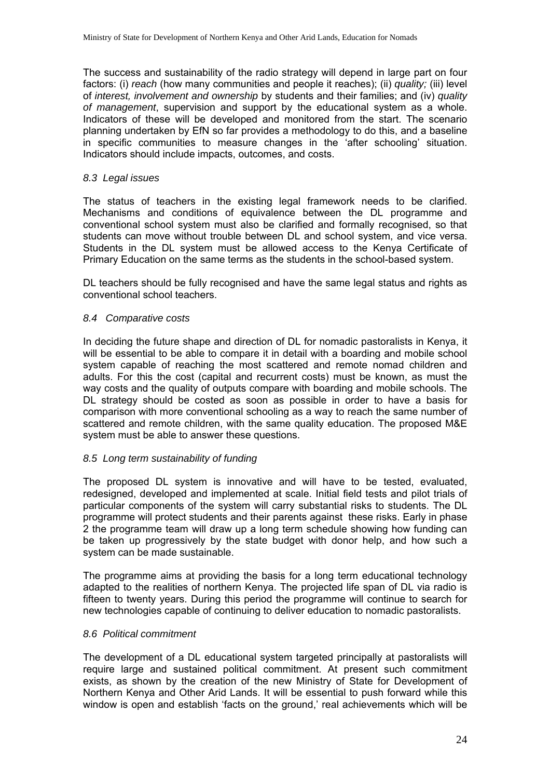The success and sustainability of the radio strategy will depend in large part on four factors: (i) *reach* (how many communities and people it reaches); (ii) *quality;* (iii) level of *interest, involvement and ownership* by students and their families; and (iv) *quality of management*, supervision and support by the educational system as a whole. Indicators of these will be developed and monitored from the start. The scenario planning undertaken by EfN so far provides a methodology to do this, and a baseline in specific communities to measure changes in the 'after schooling' situation. Indicators should include impacts, outcomes, and costs.

#### *8.3 Legal issues*

The status of teachers in the existing legal framework needs to be clarified. Mechanisms and conditions of equivalence between the DL programme and conventional school system must also be clarified and formally recognised, so that students can move without trouble between DL and school system, and vice versa. Students in the DL system must be allowed access to the Kenya Certificate of Primary Education on the same terms as the students in the school-based system.

DL teachers should be fully recognised and have the same legal status and rights as conventional school teachers.

#### *8.4 Comparative costs*

In deciding the future shape and direction of DL for nomadic pastoralists in Kenya, it will be essential to be able to compare it in detail with a boarding and mobile school system capable of reaching the most scattered and remote nomad children and adults. For this the cost (capital and recurrent costs) must be known, as must the way costs and the quality of outputs compare with boarding and mobile schools. The DL strategy should be costed as soon as possible in order to have a basis for comparison with more conventional schooling as a way to reach the same number of scattered and remote children, with the same quality education. The proposed M&E system must be able to answer these questions.

#### *8.5 Long term sustainability of funding*

The proposed DL system is innovative and will have to be tested, evaluated, redesigned, developed and implemented at scale. Initial field tests and pilot trials of particular components of the system will carry substantial risks to students. The DL programme will protect students and their parents against these risks. Early in phase 2 the programme team will draw up a long term schedule showing how funding can be taken up progressively by the state budget with donor help, and how such a system can be made sustainable.

The programme aims at providing the basis for a long term educational technology adapted to the realities of northern Kenya. The projected life span of DL via radio is fifteen to twenty years. During this period the programme will continue to search for new technologies capable of continuing to deliver education to nomadic pastoralists.

#### *8.6 Political commitment*

The development of a DL educational system targeted principally at pastoralists will require large and sustained political commitment. At present such commitment exists, as shown by the creation of the new Ministry of State for Development of Northern Kenya and Other Arid Lands. It will be essential to push forward while this window is open and establish 'facts on the ground,' real achievements which will be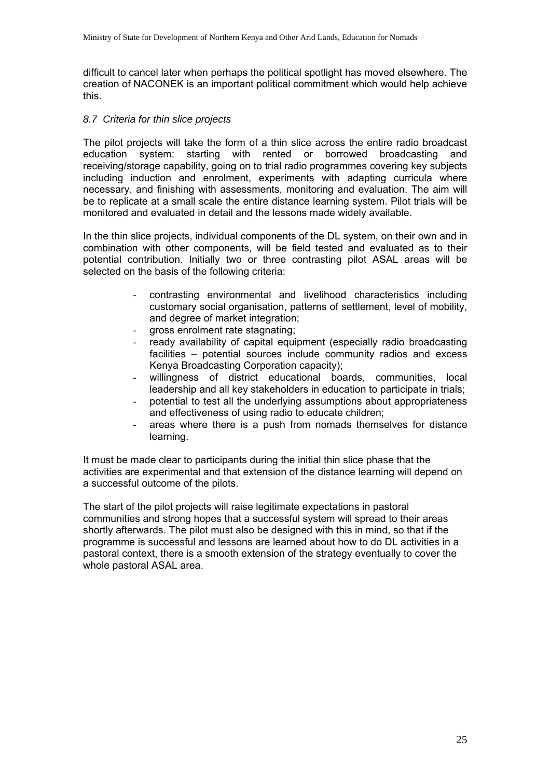difficult to cancel later when perhaps the political spotlight has moved elsewhere. The creation of NACONEK is an important political commitment which would help achieve this.

### *8.7 Criteria for thin slice projects*

The pilot projects will take the form of a thin slice across the entire radio broadcast education system: starting with rented or borrowed broadcasting and receiving/storage capability, going on to trial radio programmes covering key subjects including induction and enrolment, experiments with adapting curricula where necessary, and finishing with assessments, monitoring and evaluation. The aim will be to replicate at a small scale the entire distance learning system. Pilot trials will be monitored and evaluated in detail and the lessons made widely available.

In the thin slice projects, individual components of the DL system, on their own and in combination with other components, will be field tested and evaluated as to their potential contribution. Initially two or three contrasting pilot ASAL areas will be selected on the basis of the following criteria:

- contrasting environmental and livelihood characteristics including customary social organisation, patterns of settlement, level of mobility, and degree of market integration;
- gross enrolment rate stagnating;
- ready availability of capital equipment (especially radio broadcasting facilities – potential sources include community radios and excess Kenya Broadcasting Corporation capacity);
- willingness of district educational boards, communities, local leadership and all key stakeholders in education to participate in trials;
- potential to test all the underlying assumptions about appropriateness and effectiveness of using radio to educate children;
- areas where there is a push from nomads themselves for distance learning.

It must be made clear to participants during the initial thin slice phase that the activities are experimental and that extension of the distance learning will depend on a successful outcome of the pilots.

The start of the pilot projects will raise legitimate expectations in pastoral communities and strong hopes that a successful system will spread to their areas shortly afterwards. The pilot must also be designed with this in mind, so that if the programme is successful and lessons are learned about how to do DL activities in a pastoral context, there is a smooth extension of the strategy eventually to cover the whole pastoral ASAL area.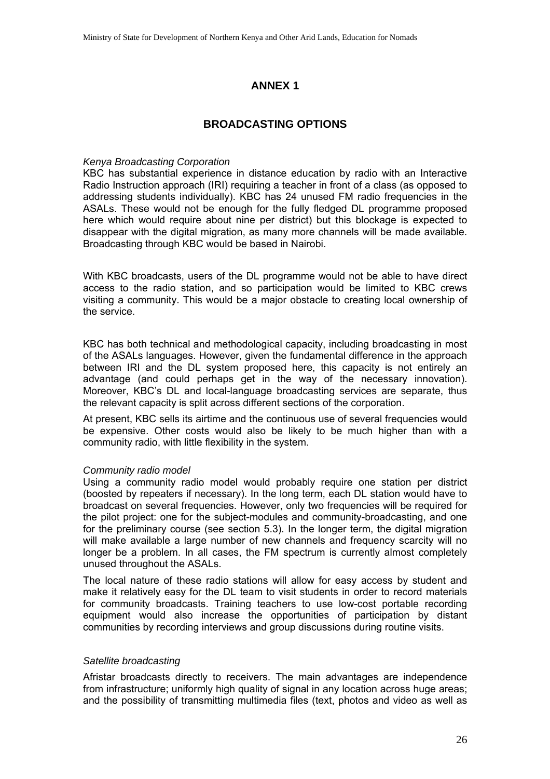# **ANNEX 1**

# **BROADCASTING OPTIONS**

#### *Kenya Broadcasting Corporation*

KBC has substantial experience in distance education by radio with an Interactive Radio Instruction approach (IRI) requiring a teacher in front of a class (as opposed to addressing students individually). KBC has 24 unused FM radio frequencies in the ASALs. These would not be enough for the fully fledged DL programme proposed here which would require about nine per district) but this blockage is expected to disappear with the digital migration, as many more channels will be made available. Broadcasting through KBC would be based in Nairobi.

With KBC broadcasts, users of the DL programme would not be able to have direct access to the radio station, and so participation would be limited to KBC crews visiting a community. This would be a major obstacle to creating local ownership of the service.

KBC has both technical and methodological capacity, including broadcasting in most of the ASALs languages. However, given the fundamental difference in the approach between IRI and the DL system proposed here, this capacity is not entirely an advantage (and could perhaps get in the way of the necessary innovation). Moreover, KBC's DL and local-language broadcasting services are separate, thus the relevant capacity is split across different sections of the corporation.

At present, KBC sells its airtime and the continuous use of several frequencies would be expensive. Other costs would also be likely to be much higher than with a community radio, with little flexibility in the system.

### *Community radio model*

Using a community radio model would probably require one station per district (boosted by repeaters if necessary). In the long term, each DL station would have to broadcast on several frequencies. However, only two frequencies will be required for the pilot project: one for the subject-modules and community-broadcasting, and one for the preliminary course (see section 5.3). In the longer term, the digital migration will make available a large number of new channels and frequency scarcity will no longer be a problem. In all cases, the FM spectrum is currently almost completely unused throughout the ASALs.

The local nature of these radio stations will allow for easy access by student and make it relatively easy for the DL team to visit students in order to record materials for community broadcasts. Training teachers to use low-cost portable recording equipment would also increase the opportunities of participation by distant communities by recording interviews and group discussions during routine visits.

### *Satellite broadcasting*

Afristar broadcasts directly to receivers. The main advantages are independence from infrastructure; uniformly high quality of signal in any location across huge areas; and the possibility of transmitting multimedia files (text, photos and video as well as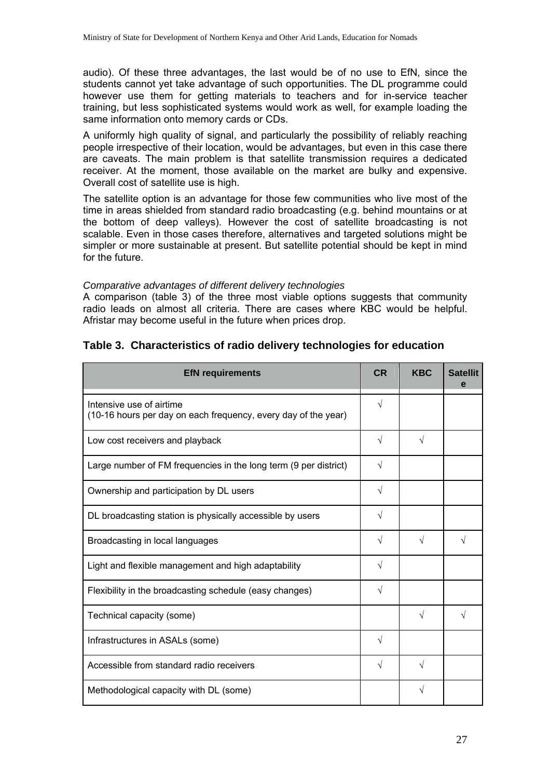audio). Of these three advantages, the last would be of no use to EfN, since the students cannot yet take advantage of such opportunities. The DL programme could however use them for getting materials to teachers and for in-service teacher training, but less sophisticated systems would work as well, for example loading the same information onto memory cards or CDs.

A uniformly high quality of signal, and particularly the possibility of reliably reaching people irrespective of their location, would be advantages, but even in this case there are caveats. The main problem is that satellite transmission requires a dedicated receiver. At the moment, those available on the market are bulky and expensive. Overall cost of satellite use is high.

The satellite option is an advantage for those few communities who live most of the time in areas shielded from standard radio broadcasting (e.g. behind mountains or at the bottom of deep valleys). However the cost of satellite broadcasting is not scalable. Even in those cases therefore, alternatives and targeted solutions might be simpler or more sustainable at present. But satellite potential should be kept in mind for the future.

### *Comparative advantages of different delivery technologies*

A comparison (table 3) of the three most viable options suggests that community radio leads on almost all criteria. There are cases where KBC would be helpful. Afristar may become useful in the future when prices drop.

| <b>EfN requirements</b>                                                                    | <b>CR</b>  | <b>KBC</b> | <b>Satellit</b><br>е |
|--------------------------------------------------------------------------------------------|------------|------------|----------------------|
| Intensive use of airtime<br>(10-16 hours per day on each frequency, every day of the year) | $\sqrt{}$  |            |                      |
| Low cost receivers and playback                                                            | $\sqrt{}$  | V          |                      |
| Large number of FM frequencies in the long term (9 per district)                           | $\sqrt{}$  |            |                      |
| Ownership and participation by DL users                                                    | √          |            |                      |
| DL broadcasting station is physically accessible by users                                  | $\sqrt{}$  |            |                      |
| Broadcasting in local languages                                                            | $\sqrt{}$  | $\sqrt{ }$ | V                    |
| Light and flexible management and high adaptability                                        | $\sqrt{ }$ |            |                      |
| Flexibility in the broadcasting schedule (easy changes)                                    | $\sqrt{ }$ |            |                      |
| Technical capacity (some)                                                                  |            | V          |                      |
| Infrastructures in ASALs (some)                                                            | $\sqrt{ }$ |            |                      |
| Accessible from standard radio receivers                                                   | √          | V          |                      |
| Methodological capacity with DL (some)                                                     |            |            |                      |

# **Table 3. Characteristics of radio delivery technologies for education**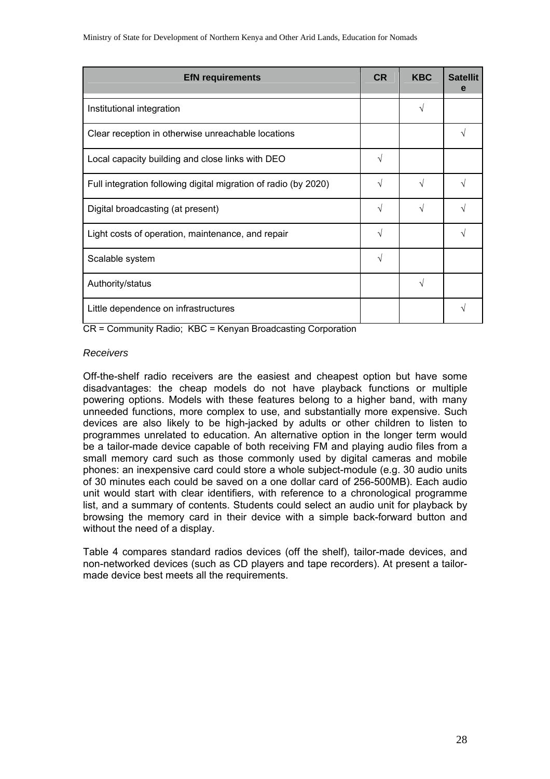| <b>EfN</b> requirements                                         | <b>CR</b> | <b>KBC</b> | <b>Satellit</b><br>е |
|-----------------------------------------------------------------|-----------|------------|----------------------|
| Institutional integration                                       |           | V          |                      |
| Clear reception in otherwise unreachable locations              |           |            |                      |
| Local capacity building and close links with DEO                | V         |            |                      |
| Full integration following digital migration of radio (by 2020) | V         | V          |                      |
| Digital broadcasting (at present)                               | V         |            |                      |
| Light costs of operation, maintenance, and repair               | V         |            |                      |
| Scalable system                                                 | V         |            |                      |
| Authority/status                                                |           | V          |                      |
| Little dependence on infrastructures                            |           |            |                      |

CR = Community Radio; KBC = Kenyan Broadcasting Corporation

### *Receivers*

Off-the-shelf radio receivers are the easiest and cheapest option but have some disadvantages: the cheap models do not have playback functions or multiple powering options. Models with these features belong to a higher band, with many unneeded functions, more complex to use, and substantially more expensive. Such devices are also likely to be high-jacked by adults or other children to listen to programmes unrelated to education. An alternative option in the longer term would be a tailor-made device capable of both receiving FM and playing audio files from a small memory card such as those commonly used by digital cameras and mobile phones: an inexpensive card could store a whole subject-module (e.g. 30 audio units of 30 minutes each could be saved on a one dollar card of 256-500MB). Each audio unit would start with clear identifiers, with reference to a chronological programme list, and a summary of contents. Students could select an audio unit for playback by browsing the memory card in their device with a simple back-forward button and without the need of a display.

Table 4 compares standard radios devices (off the shelf), tailor-made devices, and non-networked devices (such as CD players and tape recorders). At present a tailormade device best meets all the requirements.